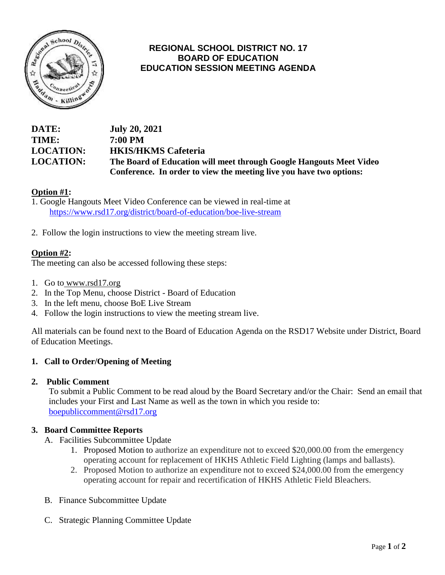

# **REGIONAL SCHOOL DISTRICT NO. 17 BOARD OF EDUCATION EDUCATION SESSION MEETING AGENDA**

### **DATE: July 20, 2021 TIME: 7:00 PM LOCATION: HKIS/HKMS Cafeteria LOCATION: The Board of Education will meet through Google Hangouts Meet Video Conference. In order to view the meeting live you have two options:**

## **Option #1:**

- 1. Google Hangouts Meet Video Conference can be viewed in real-time at <https://www.rsd17.org/district/board-of-education/boe-live-stream>
- 2. Follow the login instructions to view the meeting stream live.

#### **Option #2:**

The meeting can also be accessed following these steps:

- 1. Go to [www.rsd17.org](http://www.rsd17.org/)
- 2. In the Top Menu, choose District Board of Education
- 3. In the left menu, choose BoE Live Stream
- 4. Follow the login instructions to view the meeting stream live.

All materials can be found next to the Board of Education Agenda on the RSD17 Website under District, Board of Education Meetings.

#### **1. Call to Order/Opening of Meeting**

#### **2. Public Comment**

 To submit a Public Comment to be read aloud by the Board Secretary and/or the Chair: Send an email that includes your First and Last Name as well as the town in which you reside to: [boepubliccomment@rsd17.org](mailto:boepubliccomment@rsd17.org)

#### **3. Board Committee Reports**

- A. Facilities Subcommittee Update
	- 1. Proposed Motion to authorize an expenditure not to exceed \$20,000.00 from the emergency operating account for replacement of HKHS Athletic Field Lighting (lamps and ballasts).
	- 2. Proposed Motion to authorize an expenditure not to exceed \$24,000.00 from the emergency operating account for repair and recertification of HKHS Athletic Field Bleachers.
- B. Finance Subcommittee Update
- C. Strategic Planning Committee Update